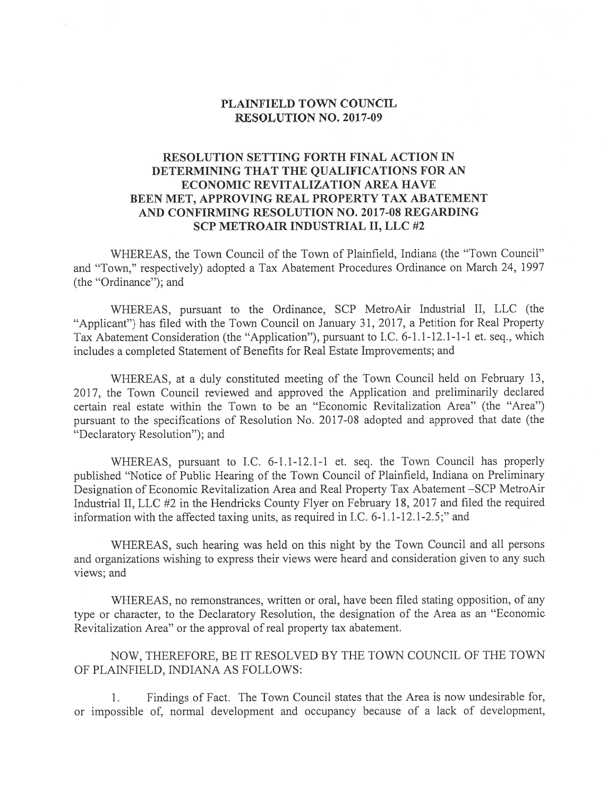## PLAINFIELD TOWN COUNCIL RESOLUTION NO. 2017-09

## RESOLUTION SETTING FORTH FINAL ACTION IN DETERMINING THAT THE QUALIFICATIONS FOR AN ECONOMIC REVITALIZATION AREA HAVE BEEN MET, APPROVING REAL PROPERTY TAX ABATEMENT AND CONFIRMING RESOLUTION NO. 2017-08 REGARDING SCP METROAIR INDUSTRIAL II, LLC #2

WHEREAS, the Town Council of the Town of Plainfield, Indiana (the "Town Council" and "Town," respectively) adopted <sup>a</sup> Tax Abatement Procedures Ordinance on March 24, 1997 (the "Ordinance"); and

WHEREAS, pursuan<sup>t</sup> to the Ordinance, SCP MetroAir Industrial II, LLC (the "Applicant") has filed with the Town Council on January 31, 2017, <sup>a</sup> Petition for Real Property Tax Abatement Consideration (the "Application"), pursuan<sup>t</sup> to I.C. 6-1.1-12.1-1-1 et. seq., which includes <sup>a</sup> completed Statement of Benefits for Real Estate Improvements; and

WHEREAS, at <sup>a</sup> duly constituted meeting of the Town Council held on February 13, 2017, the Town Council reviewed and approved the Application and preliminarily declared certain real estate within the Town to be an "Economic Revitalization Area" (the "Area") pursuant to the specifications of Resolution No. 2017-08 adopted and approved that date (the "Declaratory Resolution"); and

WHEREAS, pursuan<sup>t</sup> to I.C. 6-1.1-12.1-1 et. seq. the Town Council has properly published "Notice of Public Hearing of the Town Council of Plainfield, Indiana on Preliminary Designation of Economic Revitalization Area and Real Property Tax Abatement —SCP MetroAir Industrial II, LLC #2 in the Hendricks County Flyer on February 18, 2017 and filed the required information with the affected taxing units, as required in I.C. 6-1.1-12.1-2.5;" and

WHEREAS, such hearing was held on this night by the Town Council and all persons and organizations wishing to express their views were heard and consideration <sup>g</sup>iven to any such views; and

WHEREAS, no remonstrances, written or oral, have been filed stating opposition, of any type or character, to the Declaratory Resolution, the designation of the Area as an "Economic Revitalization Area" or the approval of real property tax abatement.

NOW, THEREFORE, BE IT RESOLVED BY THE TOWN COUNCIL OF THE TOWN OF PLAINFIELD, INDIANA AS FOLLOWS:

1. Findings of Fact. The Town Council states that the Area is now undesirable for, or impossible of, normal development and occupancy because of a lack of development,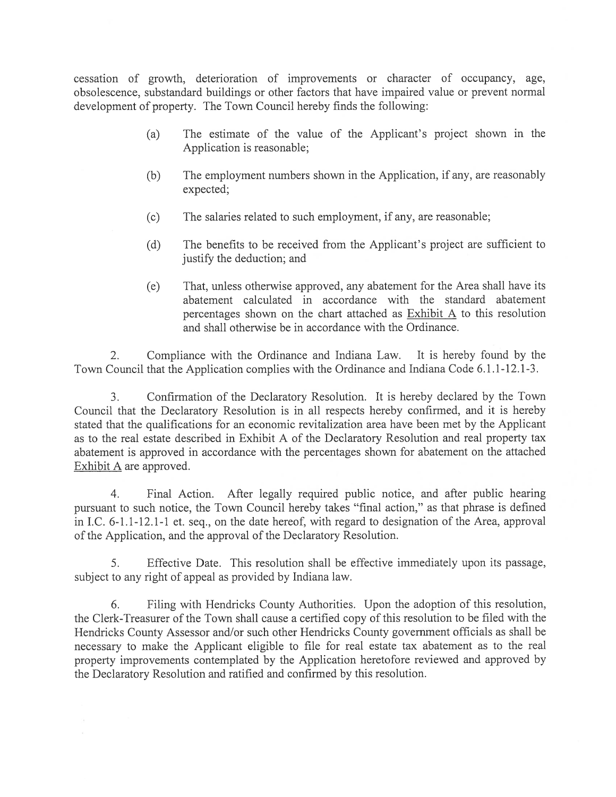cessation of growth, deterioration of improvements or character of occupancy, age, obsolescence, substandard buildings or other factors that have impaired value or preven<sup>t</sup> normal development of property. The Town Council hereby finds the following:

- (a) The estimate of the value of the Applicant's project shown in the Application is reasonable;
- (b) The employment numbers shown in the Application, if any, are reasonably expected;
- (c) The salaries related to such employment, if any, are reasonable;
- (d) The benefits to be received from the Applicant's project are sufficient to justify the deduction; and
- (e) That, unless otherwise approved, any abatement for the Area shall have its abatement calculated in accordance with the standard abatement percentages shown on the chart attached as Exhibit A to this resolution and shall otherwise be in accordance with the Ordinance.

2. Compliance with the Ordinance and Indiana Law. It is hereby found by the Town Council that the Application complies with the Ordinance and Indiana Code 6.1.1-12. 1-3.

3. Confirmation of the Declaratory Resolution. It is hereby declared by the Town Council that the Declaratory Resolution is in all respects hereby confirmed, and it is hereby stated that the qualifications for an economic revitalization area have been met by the Applicant as to the real estate described in Exhibit A of the Declaratory Resolution and real property tax abatement is approved in accordance with the percentages shown for abatement on the attached Exhibit A are approved.

4. final Action. Afier legally required public notice, and afier public hearing pursuan<sup>t</sup> to such notice, the Town Council hereby takes "final action," as that phrase is defined in I.C. 6-1.1-12.1-1 et. seq., on the date hereof, with regard to designation of the Area, approval of the Application, and the approval of the Declaratory Resolution.

5. Effective Date. This resolution shall be effective immediately upon its passage, subject to any right of appeal as provided by Indiana law.

6. filing with Hendricks County Authorities. Upon the adoption of this resolution, the Clerk-Treasurer of the Town shall cause <sup>a</sup> certified copy of this resolution to be filed with the Hendricks County Assessor and/or such other Hendricks County governmen<sup>t</sup> officials as shall be necessary to make the Applicant eligible to file for real estate tax abatement as to the real property improvements contemplated by the Application heretofore reviewed and approved by the Declaratory Resolution and ratified and confirmed by this resolution.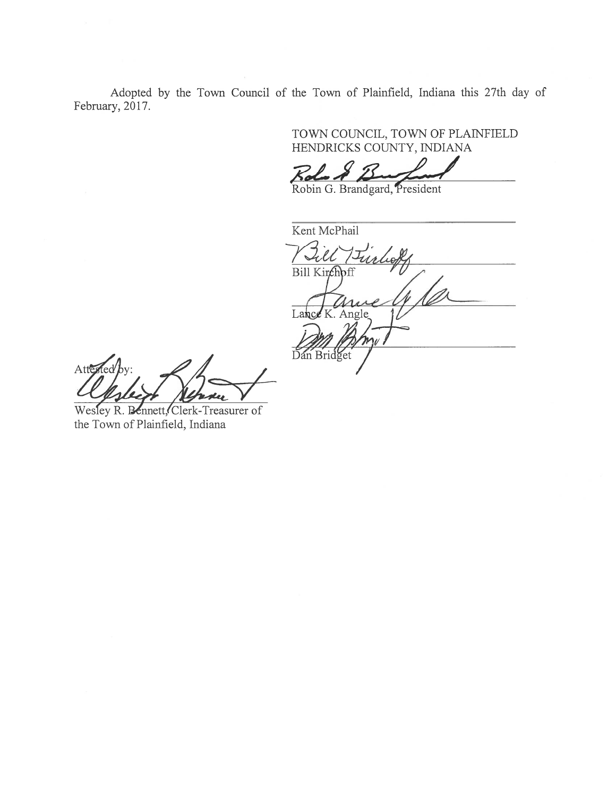Adopted by the Town Council of the Town of Plainfield, Indiana this 27th day of February, 2017.

> TOWN COUNCIL, TOWN OF PLAfNFIELD HENDRICKS COUNTY, INDIANA

 $R$ da  $\AA$ 

Robin G. Brandgard, President

Kent McPhail Till Bill Kirchoff Lance K. Angle Dan Bridget

 $\mathscr{A}$ Atte

Wesley R. Bennett, Clerk-Treasurer of the Town of Plainfield, Indiana